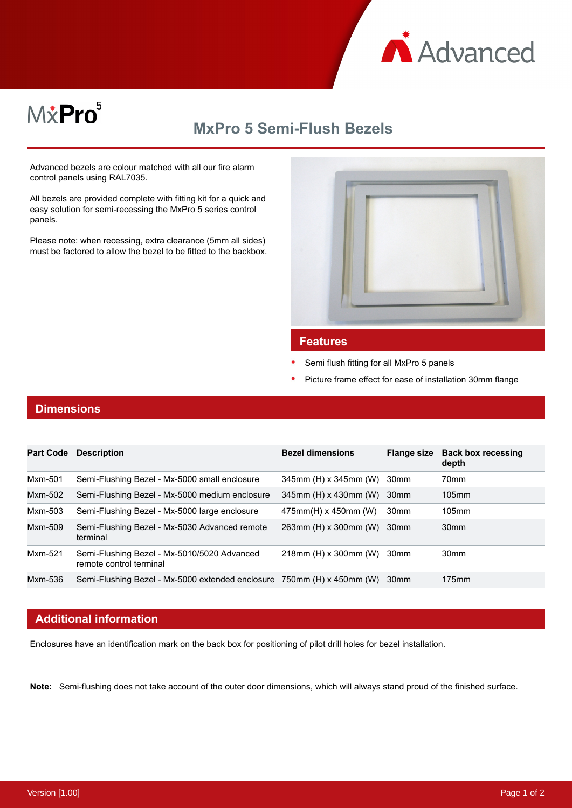

# MxPro<sup>5</sup>

## **MxPro 5 Semi-Flush Bezels**

Advanced bezels are colour matched with all our fire alarm control panels using RAL7035.

All bezels are provided complete with fitting kit for a quick and easy solution for semi-recessing the MxPro 5 series control panels.

Please note: when recessing, extra clearance (5mm all sides) must be factored to allow the bezel to be fitted to the backbox.



#### **Features**

- Semi flush fitting for all MxPro 5 panels
- Picture frame effect for ease of installation 30mm flange

#### **Dimensions**

| <b>Part Code</b> | <b>Description</b>                                                     | <b>Bezel dimensions</b>  | <b>Flange size</b> | <b>Back box recessing</b><br>depth |
|------------------|------------------------------------------------------------------------|--------------------------|--------------------|------------------------------------|
| Mxm-501          | Semi-Flushing Bezel - Mx-5000 small enclosure                          | 345mm (H) x 345mm (W)    | 30mm               | 70mm                               |
| Mxm-502          | Semi-Flushing Bezel - Mx-5000 medium enclosure                         | 345mm (H) x 430mm (W)    | 30 <sub>mm</sub>   | $105$ mm                           |
| Mxm-503          | Semi-Flushing Bezel - Mx-5000 large enclosure                          | $475$ mm(H) x 450mm (W)  | 30 <sub>mm</sub>   | $105$ mm                           |
| Mxm-509          | Semi-Flushing Bezel - Mx-5030 Advanced remote<br>terminal              | 263mm (H) x 300mm (W)    | 30 <sub>mm</sub>   | 30 <sub>mm</sub>                   |
| Mxm-521          | Semi-Flushing Bezel - Mx-5010/5020 Advanced<br>remote control terminal | $218$ mm (H) x 300mm (W) | 30mm               | 30 <sub>mm</sub>                   |
| Mxm-536          | Semi-Flushing Bezel - Mx-5000 extended enclosure 750mm (H) x 450mm (W) |                          | 30 <sub>mm</sub>   | $175$ mm                           |

#### **Additional information**

Enclosures have an identification mark on the back box for positioning of pilot drill holes for bezel installation.

**Note:** Semi-flushing does not take account of the outer door dimensions, which will always stand proud of the finished surface.